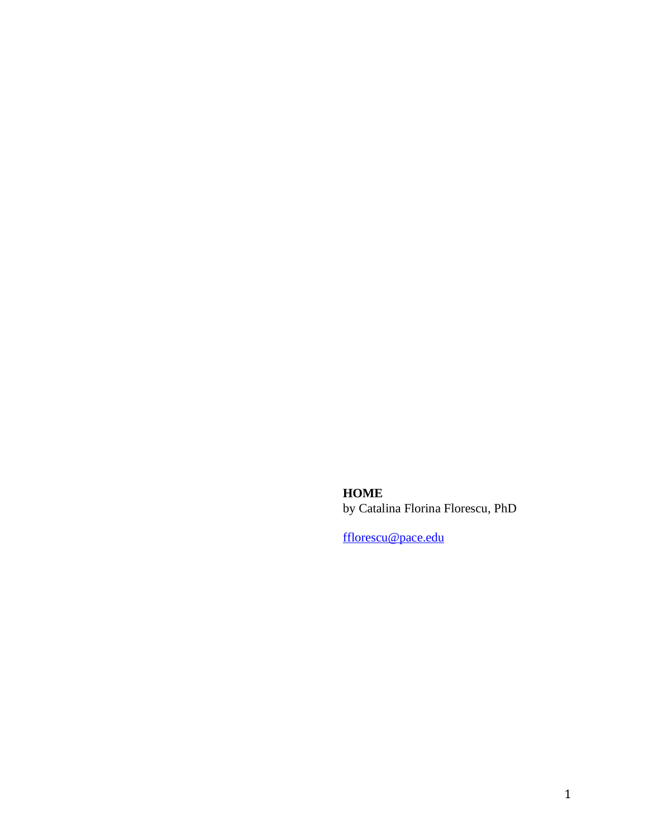**HOME** by Catalina Florina Florescu, PhD

[fflorescu@pace.edu](mailto:fflorescu@pace.edu)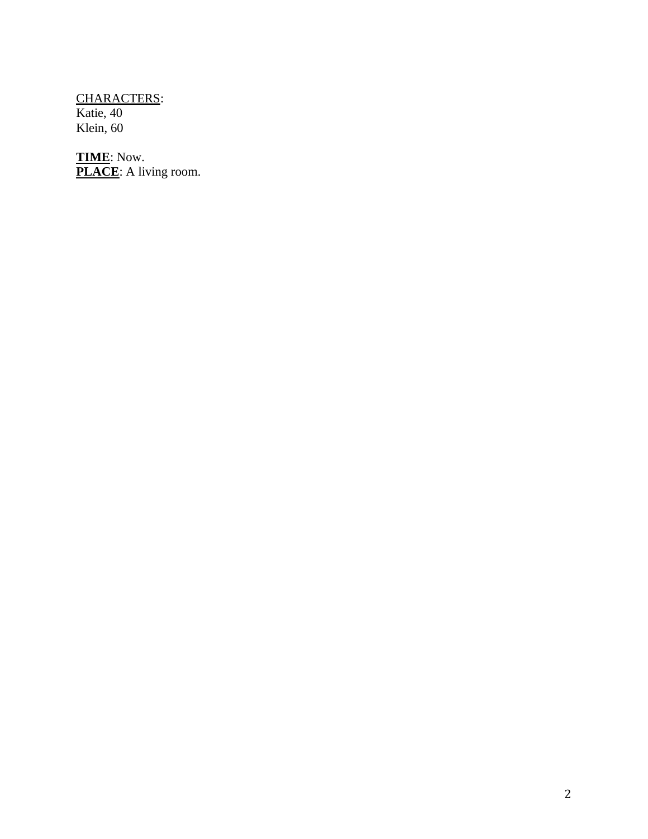CHARACTERS: Katie, 40 Klein, 60

**TIME**: Now. **PLACE**: A living room.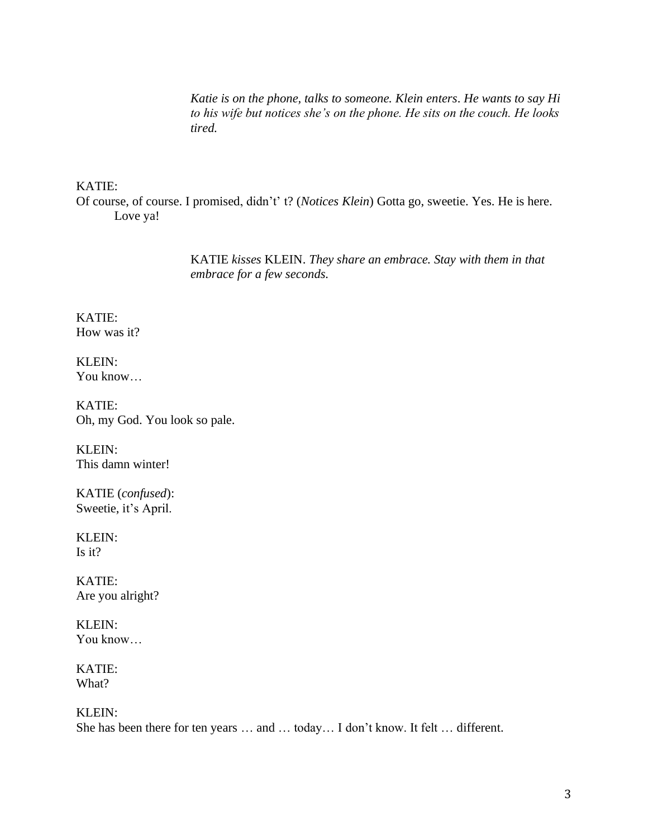*Katie is on the phone, talks to someone. Klein enters*. *He wants to say Hi to his wife but notices she's on the phone. He sits on the couch. He looks tired.* 

## KATIE:

Of course, of course. I promised, didn't' t? (*Notices Klein*) Gotta go, sweetie. Yes. He is here. Love ya!

> KATIE *kisses* KLEIN. *They share an embrace. Stay with them in that embrace for a few seconds.*

KATIE: How was it?

KLEIN: You know…

KATIE: Oh, my God. You look so pale.

KLEIN: This damn winter!

KATIE (*confused*): Sweetie, it's April.

KLEIN: Is it?

KATIE: Are you alright?

KLEIN: You know…

KATIE: What?

KLEIN:

She has been there for ten years … and … today… I don't know. It felt … different.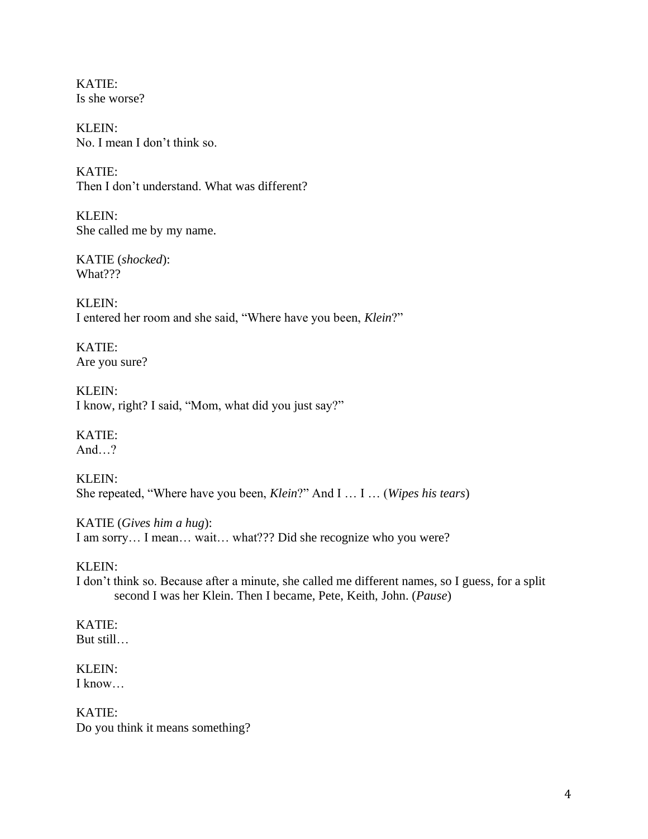KATIE: Is she worse?

KLEIN: No. I mean I don't think so.

KATIE: Then I don't understand. What was different?

KLEIN: She called me by my name.

KATIE (*shocked*): What???

KLEIN: I entered her room and she said, "Where have you been, *Klein*?"

KATIE: Are you sure?

KLEIN: I know, right? I said, "Mom, what did you just say?"

KATIE: And…?

KLEIN: She repeated, "Where have you been, *Klein*?" And I … I … (*Wipes his tears*)

KATIE (*Gives him a hug*): I am sorry… I mean… wait… what??? Did she recognize who you were?

KLEIN:

I don't think so. Because after a minute, she called me different names, so I guess, for a split second I was her Klein. Then I became, Pete, Keith, John. (*Pause*)

KATIE: But still…

KLEIN: I know…

KATIE: Do you think it means something?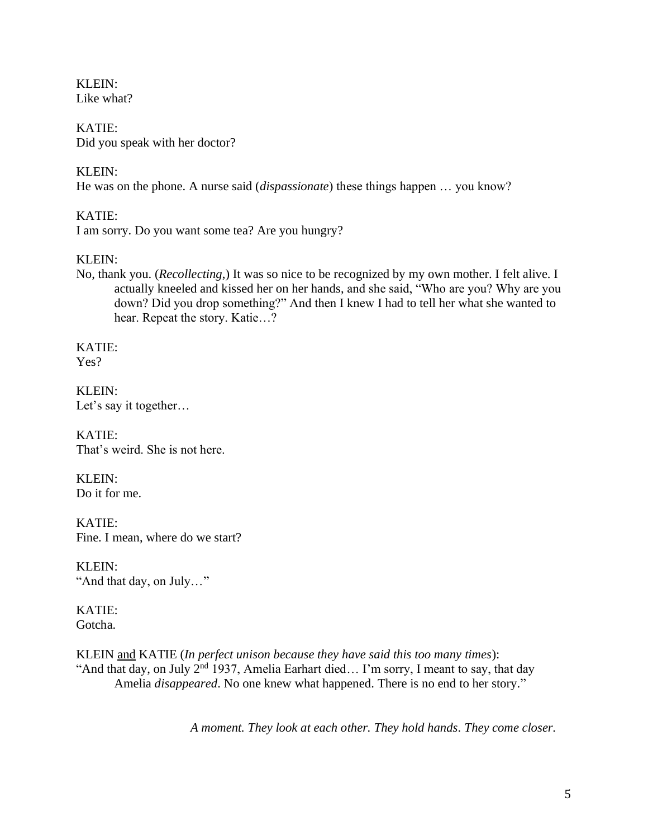KLEIN: Like what?

KATIE: Did you speak with her doctor?

# KLEIN:

He was on the phone. A nurse said (*dispassionate*) these things happen … you know?

# KATIE:

I am sorry. Do you want some tea? Are you hungry?

# KLEIN:

No, thank you. (*Recollecting*,) It was so nice to be recognized by my own mother. I felt alive. I actually kneeled and kissed her on her hands, and she said, "Who are you? Why are you down? Did you drop something?" And then I knew I had to tell her what she wanted to hear. Repeat the story. Katie…?

KATIE: Yes?

KLEIN: Let's say it together…

KATIE: That's weird. She is not here.

KLEIN: Do it for me.

KATIE: Fine. I mean, where do we start?

KLEIN: "And that day, on July…"

KATIE: Gotcha.

KLEIN and KATIE (*In perfect unison because they have said this too many times*): "And that day, on July  $2<sup>nd</sup>$  1937, Amelia Earhart died... I'm sorry, I meant to say, that day Amelia *disappeared*. No one knew what happened. There is no end to her story."

*A moment. They look at each other. They hold hands. They come closer.*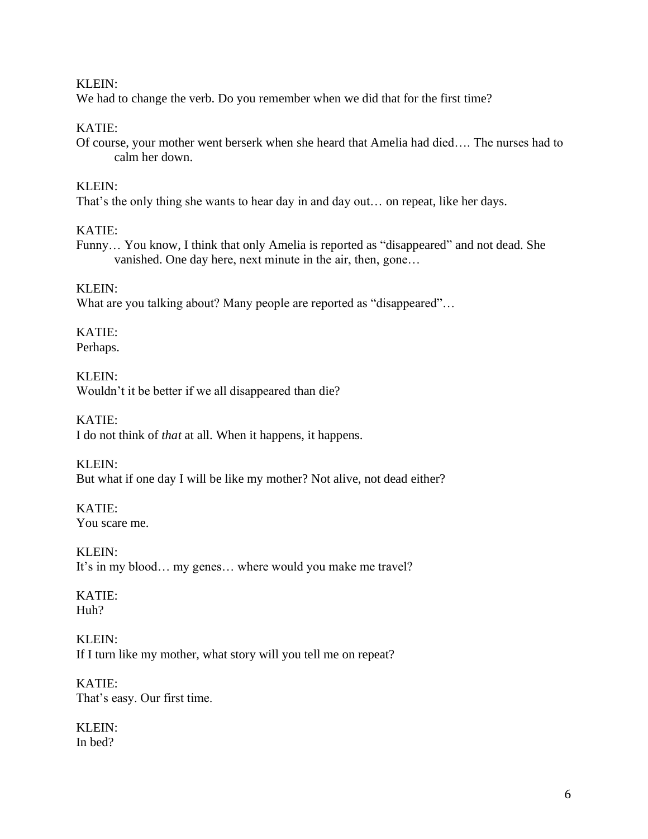### KLEIN:

We had to change the verb. Do you remember when we did that for the first time?

## KATIE:

Of course, your mother went berserk when she heard that Amelia had died…. The nurses had to calm her down.

## KLEIN:

That's the only thing she wants to hear day in and day out… on repeat, like her days.

## KATIE:

Funny… You know, I think that only Amelia is reported as "disappeared" and not dead. She vanished. One day here, next minute in the air, then, gone…

### KLEIN:

What are you talking about? Many people are reported as "disappeared"…

KATIE: Perhaps.

KLEIN: Wouldn't it be better if we all disappeared than die?

KATIE: I do not think of *that* at all. When it happens, it happens.

KLEIN: But what if one day I will be like my mother? Not alive, not dead either?

KATIE: You scare me.

KLEIN: It's in my blood… my genes… where would you make me travel?

# KATIE: Huh?

KLEIN: If I turn like my mother, what story will you tell me on repeat?

KATIE: That's easy. Our first time.

KLEIN: In bed?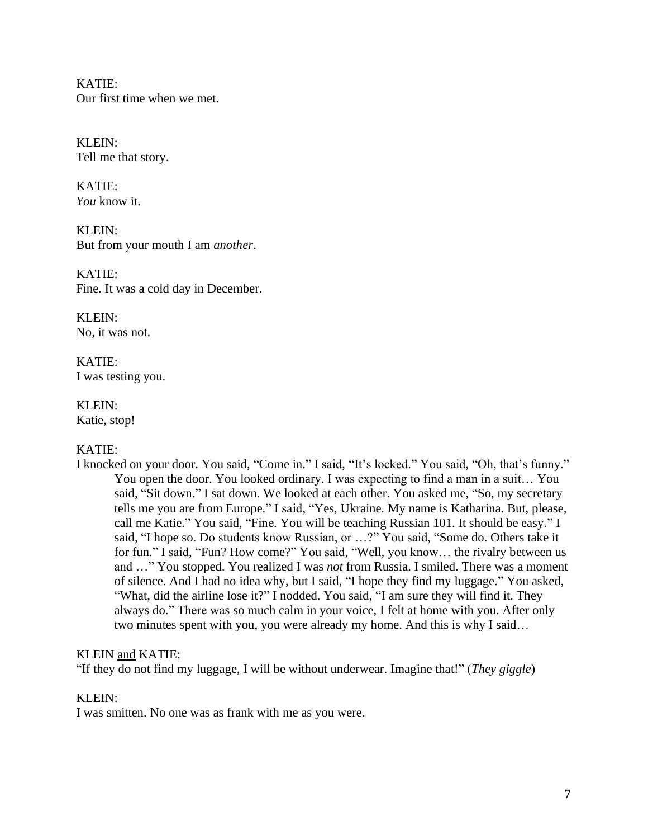KATIE: Our first time when we met.

KLEIN: Tell me that story.

KATIE: *You* know it.

KLEIN: But from your mouth I am *another*.

KATIE: Fine. It was a cold day in December.

KLEIN: No, it was not.

KATIE: I was testing you.

KLEIN: Katie, stop!

# KATIE:

I knocked on your door. You said, "Come in." I said, "It's locked." You said, "Oh, that's funny." You open the door. You looked ordinary. I was expecting to find a man in a suit… You said, "Sit down." I sat down. We looked at each other. You asked me, "So, my secretary tells me you are from Europe." I said, "Yes, Ukraine. My name is Katharina. But, please, call me Katie." You said, "Fine. You will be teaching Russian 101. It should be easy." I said, "I hope so. Do students know Russian, or …?" You said, "Some do. Others take it for fun." I said, "Fun? How come?" You said, "Well, you know… the rivalry between us and …" You stopped. You realized I was *not* from Russia. I smiled. There was a moment of silence. And I had no idea why, but I said, "I hope they find my luggage." You asked, "What, did the airline lose it?" I nodded. You said, "I am sure they will find it. They always do." There was so much calm in your voice, I felt at home with you. After only two minutes spent with you, you were already my home. And this is why I said…

### KLEIN and KATIE:

"If they do not find my luggage, I will be without underwear. Imagine that!" (*They giggle*)

### KLEIN:

I was smitten. No one was as frank with me as you were.